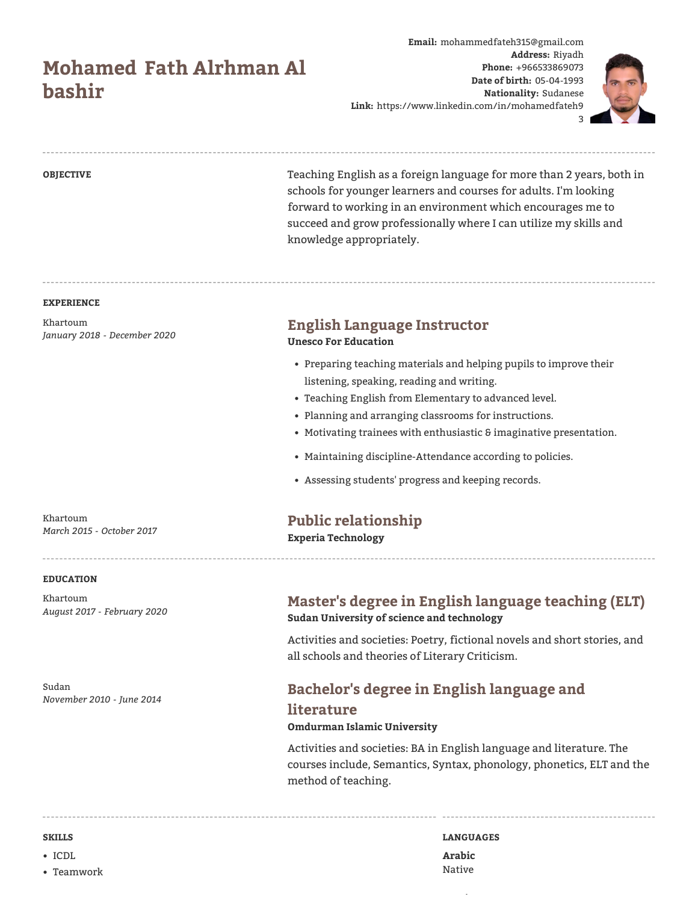# **Mohamed Fath Alrhman Al bashir**

**Email:** mohammedfateh315@gmail.com **Address:** Riyadh **Phone:** +966533869073 **Date of birth:** 05-04-1993 **Nationality:** Sudanese **Link:** https://www.linkedin.com/in/mohamedfateh9



3

**OBJECTIVE** Teaching English as a foreign language for more than 2 years, both in schools for younger learners and courses for adults. I'm looking forward to working in an environment which encourages me to succeed and grow professionally where I can utilize my skills and knowledge appropriately.

#### **EXPERIENCE**

Khartoum *January 2018 - December 2020*

**Unesco For Education**

**English Language Instructor**

- Preparing teaching materials and helping pupils to improve their listening, speaking, reading and writing.
- Teaching English from Elementary to advanced level.
- Planning and arranging classrooms for instructions.
- Motivating trainees with enthusiastic & imaginative presentation.
- Maintaining discipline-Attendance according to policies.
- Assessing students' progress and keeping records.

# **Public relationship**

**Experia Technology**

# **EDUCATION**

Khartoum

Khartoum *August 2017 - February 2020*

*March 2015 - October 2017*

Sudan *November 2010 - June 2014*

# **Master's degree in English language teaching (ELT) Sudan University of science and technology**

Activities and societies: Poetry, fictional novels and short stories, and all schools and theories of Literary Criticism.

# **Bachelor's degree in English language and literature**

### **Omdurman Islamic University**

Activities and societies: BA in English language and literature. The courses include, Semantics, Syntax, phonology, phonetics, ELT and the method of teaching.

- ICDL
- Teamwork

**SKILLS LANGUAGES Arabic** Native